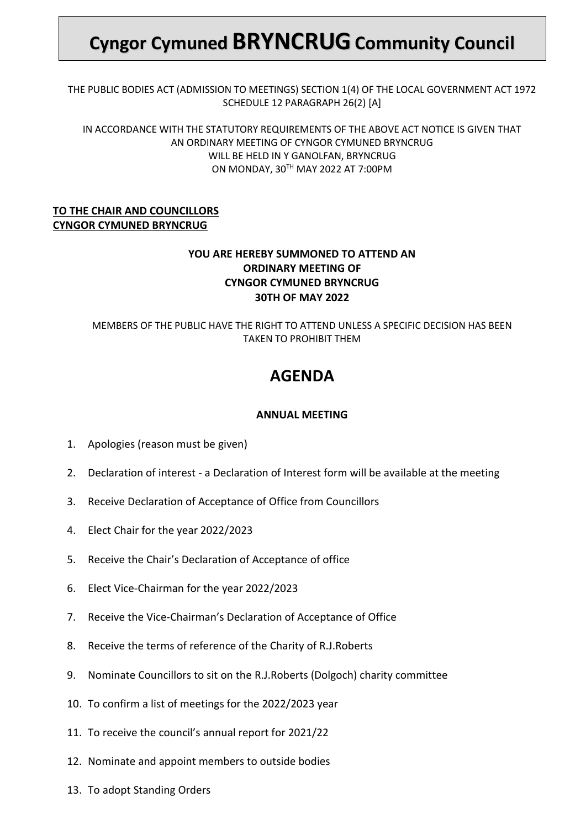# **Cyngor Cymuned BRYNCRUGCommunity Council**

THE PUBLIC BODIES ACT (ADMISSION TO MEETINGS) SECTION 1(4) OF THE LOCAL GOVERNMENT ACT 1972 SCHEDULE 12 PARAGRAPH 26(2) [A]

IN ACCORDANCE WITH THE STATUTORY REQUIREMENTS OF THE ABOVE ACT NOTICE IS GIVEN THAT AN ORDINARY MEETING OF CYNGOR CYMUNED BRYNCRUG WILL BE HELD IN Y GANOLFAN, BRYNCRUG ON MONDAY, 30TH MAY 2022 AT 7:00PM

### **TO THE CHAIR AND COUNCILLORS CYNGOR CYMUNED BRYNCRUG**

### **YOU ARE HEREBY SUMMONED TO ATTEND AN ORDINARY MEETING OF CYNGOR CYMUNED BRYNCRUG 30TH OF MAY 2022**

MEMBERS OF THE PUBLIC HAVE THE RIGHT TO ATTEND UNLESS A SPECIFIC DECISION HAS BEEN TAKEN TO PROHIBIT THEM

## **AGENDA**

### **ANNUAL MEETING**

- 1. Apologies (reason must be given)
- 2. Declaration of interest a Declaration of Interest form will be available at the meeting
- 3. Receive Declaration of Acceptance of Office from Councillors
- 4. Elect Chair for the year 2022/2023
- 5. Receive the Chair's Declaration of Acceptance of office
- 6. Elect Vice-Chairman for the year 2022/2023
- 7. Receive the Vice-Chairman's Declaration of Acceptance of Office
- 8. Receive the terms of reference of the Charity of R.J.Roberts
- 9. Nominate Councillors to sit on the R.J.Roberts (Dolgoch) charity committee
- 10. To confirm a list of meetings for the 2022/2023 year
- 11. To receive the council's annual report for 2021/22
- 12. Nominate and appoint members to outside bodies
- 13. To adopt Standing Orders